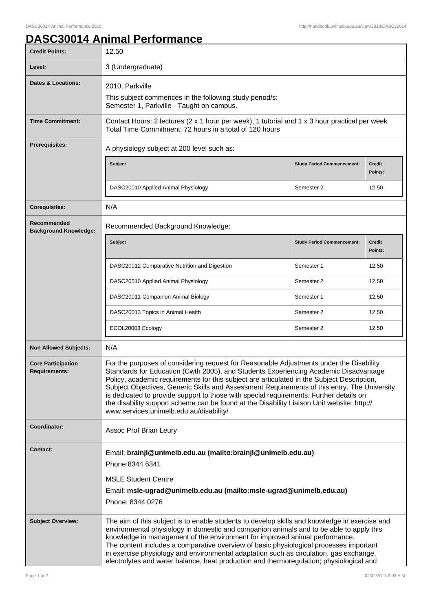## **DASC30014 Animal Performance**

| <b>Credit Points:</b>                       | 12.50                                                                                                                                                                                                                                                                                                                                                                                                                                                                                                                                                                                                            |                                   |                          |
|---------------------------------------------|------------------------------------------------------------------------------------------------------------------------------------------------------------------------------------------------------------------------------------------------------------------------------------------------------------------------------------------------------------------------------------------------------------------------------------------------------------------------------------------------------------------------------------------------------------------------------------------------------------------|-----------------------------------|--------------------------|
| Level:                                      | 3 (Undergraduate)                                                                                                                                                                                                                                                                                                                                                                                                                                                                                                                                                                                                |                                   |                          |
| <b>Dates &amp; Locations:</b>               | 2010, Parkville<br>This subject commences in the following study period/s:                                                                                                                                                                                                                                                                                                                                                                                                                                                                                                                                       |                                   |                          |
|                                             | Semester 1, Parkville - Taught on campus.                                                                                                                                                                                                                                                                                                                                                                                                                                                                                                                                                                        |                                   |                          |
| <b>Time Commitment:</b>                     | Contact Hours: 2 lectures (2 x 1 hour per week), 1 tutorial and 1 x 3 hour practical per week<br>Total Time Commitment: 72 hours in a total of 120 hours                                                                                                                                                                                                                                                                                                                                                                                                                                                         |                                   |                          |
| <b>Prerequisites:</b>                       | A physiology subject at 200 level such as:                                                                                                                                                                                                                                                                                                                                                                                                                                                                                                                                                                       |                                   |                          |
|                                             | <b>Subject</b>                                                                                                                                                                                                                                                                                                                                                                                                                                                                                                                                                                                                   | <b>Study Period Commencement:</b> | <b>Credit</b><br>Points: |
|                                             | DASC20010 Applied Animal Physiology                                                                                                                                                                                                                                                                                                                                                                                                                                                                                                                                                                              | Semester 2                        | 12.50                    |
| <b>Corequisites:</b>                        | N/A                                                                                                                                                                                                                                                                                                                                                                                                                                                                                                                                                                                                              |                                   |                          |
| Recommended<br><b>Background Knowledge:</b> | Recommended Background Knowledge:                                                                                                                                                                                                                                                                                                                                                                                                                                                                                                                                                                                |                                   |                          |
|                                             | <b>Subject</b>                                                                                                                                                                                                                                                                                                                                                                                                                                                                                                                                                                                                   | <b>Study Period Commencement:</b> | <b>Credit</b><br>Points: |
|                                             | DASC20012 Comparative Nutrition and Digestion                                                                                                                                                                                                                                                                                                                                                                                                                                                                                                                                                                    | Semester 1                        | 12.50                    |
|                                             | DASC20010 Applied Animal Physiology                                                                                                                                                                                                                                                                                                                                                                                                                                                                                                                                                                              | Semester 2                        | 12.50                    |
|                                             | DASC20011 Companion Animal Biology                                                                                                                                                                                                                                                                                                                                                                                                                                                                                                                                                                               | Semester 1                        | 12.50                    |
|                                             | DASC20013 Topics in Animal Health                                                                                                                                                                                                                                                                                                                                                                                                                                                                                                                                                                                | Semester 2                        | 12.50                    |
|                                             | ECOL20003 Ecology                                                                                                                                                                                                                                                                                                                                                                                                                                                                                                                                                                                                | Semester 2                        | 12.50                    |
| <b>Non Allowed Subjects:</b>                | N/A                                                                                                                                                                                                                                                                                                                                                                                                                                                                                                                                                                                                              |                                   |                          |
| <b>Core Participation</b><br>Requirements:  | For the purposes of considering request for Reasonable Adjustments under the Disability<br>Standards for Education (Cwth 2005), and Students Experiencing Academic Disadvantage<br>Policy, academic requirements for this subject are articulated in the Subject Description,<br>Subject Objectives, Generic Skills and Assessment Requirements of this entry. The University<br>is dedicated to provide support to those with special requirements. Further details on<br>the disability support scheme can be found at the Disability Liaison Unit website: http://<br>www.services.unimelb.edu.au/disability/ |                                   |                          |
| Coordinator:                                | Assoc Prof Brian Leury                                                                                                                                                                                                                                                                                                                                                                                                                                                                                                                                                                                           |                                   |                          |
| <b>Contact:</b>                             | Email: brainjl@unimelb.edu.au (mailto:brainjl@unimelb.edu.au)<br>Phone:8344 6341<br><b>MSLE Student Centre</b><br>Email: msle-ugrad@unimelb.edu.au (mailto:msle-ugrad@unimelb.edu.au)<br>Phone: 8344 0276                                                                                                                                                                                                                                                                                                                                                                                                        |                                   |                          |
| <b>Subject Overview:</b>                    | The aim of this subject is to enable students to develop skills and knowledge in exercise and<br>environmental physiology in domestic and companion animals and to be able to apply this<br>knowledge in management of the environment for improved animal performance.<br>The content includes a comparative overview of basic physiological processes important<br>in exercise physiology and environmental adaptation such as circulation, gas exchange,<br>electrolytes and water balance, heat production and thermoregulation; physiological and                                                           |                                   |                          |